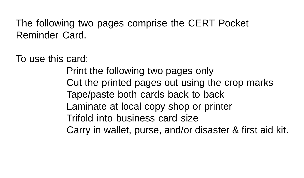The following two pages comprise the CERT Pocket Reminder Card.

To use this card:

Print the following two pages only Cut the printed pages out using the crop marks Laminate at local copy shop or printer Carry in wallet, purse, and/or disaster & first aid kit. Tape/paste both cards back to back Trifold into business card size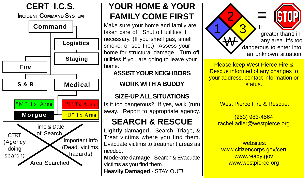

## **YOUR HOME & YOUR FAMILY COME FIRST**

Make sure your home and family are taken care of. Shut off utilities if necessary. (If you smell gas, smell smoke, or see fire.) Assess your home for structural damage. Turn off utilities if you are going to leave your home.

### **ASSIST YOUR NEIGHBORS**

## **WORK WITH A BUDDY**

### **SIZE-UP ALL SITUATIONS**

**I**s it too dangerous? If yes, walk (run) away. Report to appropriate agency.

# **SEARCH & RESCUE**

**Lightly damaged** - Search, Triage, & Treat victims where you find them. Evacuate victims to treatment areas as needed.

**Moderate damage** - Search & Evacuate victims as you find them. **Heavily Damaged** - STAY OUT!



**Please keep West Pierce Fire & If your address, contact information or** status. **ASSEMBLE AT YOUR LOCAL LAFTER AT YOUR LAFTER AT YOUR LOCAL LAFTER AT YOUR LAFTER** Rescue informed of any changes to

**CERT HAM RADIO OPERATORS IN A RADIO OPERATORS** West Pierce Fire & Rescue:

> C<mark>ERT Emergency 1983-4564</mark> rachel.adler@westpierce.org

**TO VOLUNTEER FOR A CERT EFFORT**  websites: www.citizencorps.gov/cert www.ready.gov **1966-9674. Www.ready.gov** www.westpierce.org